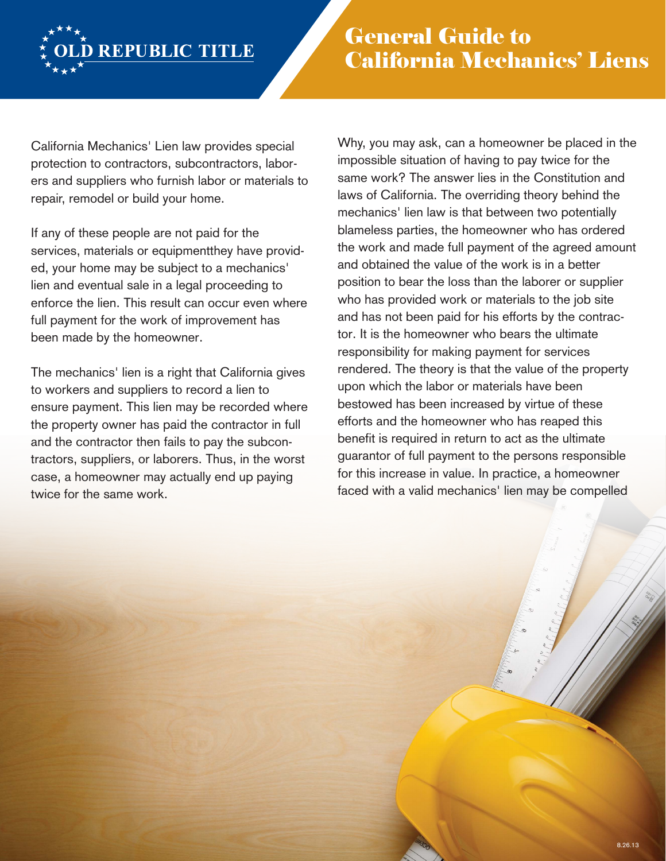

## General Guide to California Mechanics' Liens

California Mechanics' Lien law provides special protection to contractors, subcontractors, laborers and suppliers who furnish labor or materials to repair, remodel or build your home.

If any of these people are not paid for the services, materials or equipmentthey have provided, your home may be subject to a mechanics' lien and eventual sale in a legal proceeding to enforce the lien. This result can occur even where full payment for the work of improvement has been made by the homeowner.

The mechanics' lien is a right that California gives to workers and suppliers to record a lien to ensure payment. This lien may be recorded where the property owner has paid the contractor in full and the contractor then fails to pay the subcontractors, suppliers, or laborers. Thus, in the worst case, a homeowner may actually end up paying twice for the same work.

Why, you may ask, can a homeowner be placed in the impossible situation of having to pay twice for the same work? The answer lies in the Constitution and laws of California. The overriding theory behind the mechanics' lien law is that between two potentially blameless parties, the homeowner who has ordered the work and made full payment of the agreed amount and obtained the value of the work is in a better position to bear the loss than the laborer or supplier who has provided work or materials to the job site and has not been paid for his efforts by the contractor. It is the homeowner who bears the ultimate responsibility for making payment for services rendered. The theory is that the value of the property upon which the labor or materials have been bestowed has been increased by virtue of these efforts and the homeowner who has reaped this benefit is required in return to act as the ultimate guarantor of full payment to the persons responsible for this increase in value. In practice, a homeowner faced with a valid mechanics' lien may be compelled